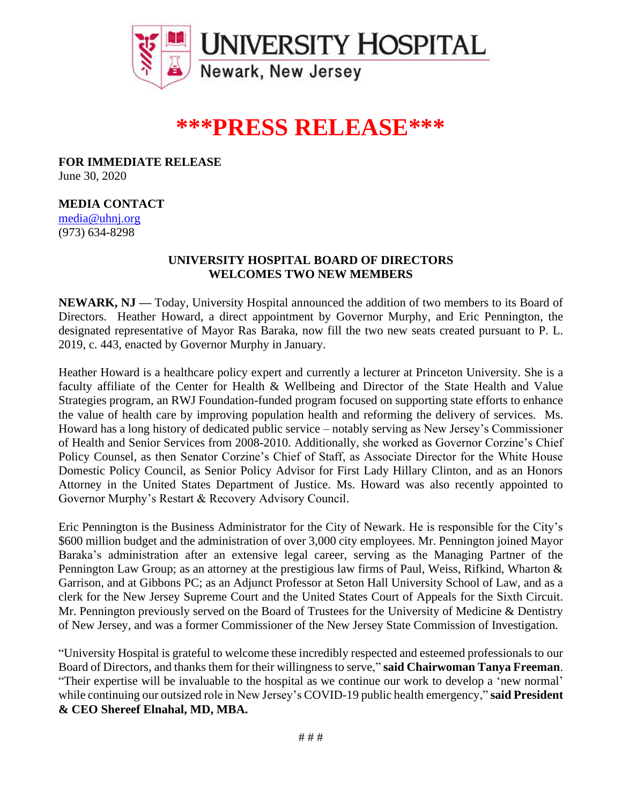

## **\*\*\*PRESS RELEASE\*\*\***

**FOR IMMEDIATE RELEASE** June 30, 2020

## **MEDIA CONTACT**

[media@uhnj.org](about:blank) (973) 634-8298

## **UNIVERSITY HOSPITAL BOARD OF DIRECTORS WELCOMES TWO NEW MEMBERS**

**NEWARK, NJ —** Today, University Hospital announced the addition of two members to its Board of Directors. Heather Howard, a direct appointment by Governor Murphy, and Eric Pennington, the designated representative of Mayor Ras Baraka, now fill the two new seats created pursuant to P. L. 2019, c. 443, enacted by Governor Murphy in January.

Heather Howard is a healthcare policy expert and currently a lecturer at Princeton University. She is a faculty affiliate of the Center for Health & Wellbeing and Director of the State Health and Value Strategies program, an RWJ Foundation-funded program focused on supporting state efforts to enhance the value of health care by improving population health and reforming the delivery of services. Ms. Howard has a long history of dedicated public service – notably serving as New Jersey's Commissioner of Health and Senior Services from 2008-2010. Additionally, she worked as Governor Corzine's Chief Policy Counsel, as then Senator Corzine's Chief of Staff, as Associate Director for the White House Domestic Policy Council, as Senior Policy Advisor for First Lady Hillary Clinton, and as an Honors Attorney in the United States Department of Justice. Ms. Howard was also recently appointed to Governor Murphy's Restart & Recovery Advisory Council.

Eric Pennington is the Business Administrator for the City of Newark. He is responsible for the City's \$600 million budget and the administration of over 3,000 city employees. Mr. Pennington joined Mayor Baraka's administration after an extensive legal career, serving as the Managing Partner of the Pennington Law Group; as an attorney at the prestigious law firms of Paul, Weiss, Rifkind, Wharton & Garrison, and at Gibbons PC; as an Adjunct Professor at Seton Hall University School of Law, and as a clerk for the New Jersey Supreme Court and the United States Court of Appeals for the Sixth Circuit. Mr. Pennington previously served on the Board of Trustees for the University of Medicine & Dentistry of New Jersey, and was a former Commissioner of the New Jersey State Commission of Investigation.

"University Hospital is grateful to welcome these incredibly respected and esteemed professionals to our Board of Directors, and thanks them for their willingness to serve," **said Chairwoman Tanya Freeman**. "Their expertise will be invaluable to the hospital as we continue our work to develop a 'new normal' while continuing our outsized role in New Jersey's COVID-19 public health emergency," **said President & CEO Shereef Elnahal, MD, MBA.**